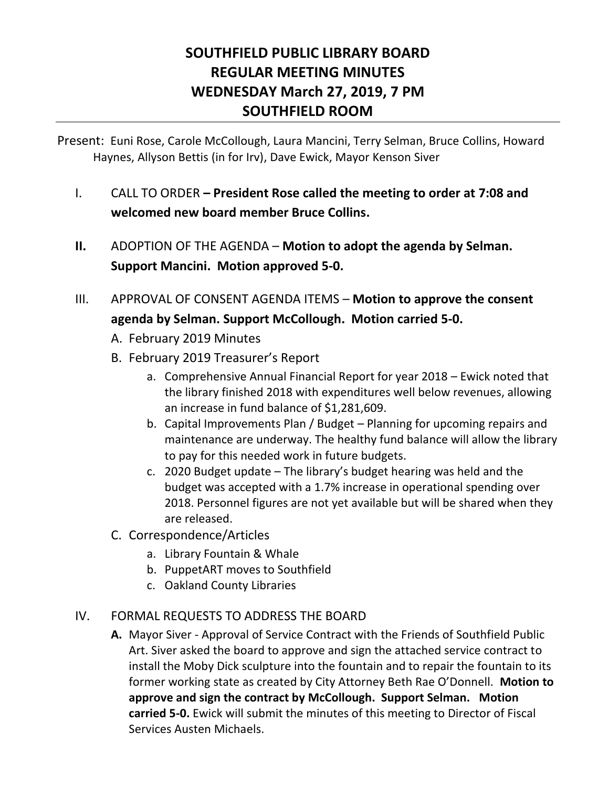# **SOUTHFIELD PUBLIC LIBRARY BOARD REGULAR MEETING MINUTES WEDNESDAY March 27, 2019, 7 PM SOUTHFIELD ROOM**

Present: Euni Rose, Carole McCollough, Laura Mancini, Terry Selman, Bruce Collins, Howard Haynes, Allyson Bettis (in for Irv), Dave Ewick, Mayor Kenson Siver

- I. CALL TO ORDER **– President Rose called the meeting to order at 7:08 and welcomed new board member Bruce Collins.**
- **II.** ADOPTION OF THE AGENDA **Motion to adopt the agenda by Selman. Support Mancini. Motion approved 5-0.**
- III. APPROVAL OF CONSENT AGENDA ITEMS **Motion to approve the consent agenda by Selman. Support McCollough. Motion carried 5-0.**
	- A. February 2019 Minutes
	- B. February 2019 Treasurer's Report
		- a. Comprehensive Annual Financial Report for year 2018 Ewick noted that the library finished 2018 with expenditures well below revenues, allowing an increase in fund balance of \$1,281,609.
		- b. Capital Improvements Plan / Budget Planning for upcoming repairs and maintenance are underway. The healthy fund balance will allow the library to pay for this needed work in future budgets.
		- c. 2020 Budget update The library's budget hearing was held and the budget was accepted with a 1.7% increase in operational spending over 2018. Personnel figures are not yet available but will be shared when they are released.
	- C. Correspondence/Articles
		- a. Library Fountain & Whale
		- b. PuppetART moves to Southfield
		- c. Oakland County Libraries

# IV. FORMAL REQUESTS TO ADDRESS THE BOARD

**A.** Mayor Siver - Approval of Service Contract with the Friends of Southfield Public Art. Siver asked the board to approve and sign the attached service contract to install the Moby Dick sculpture into the fountain and to repair the fountain to its former working state as created by City Attorney Beth Rae O'Donnell. **Motion to approve and sign the contract by McCollough. Support Selman. Motion carried 5-0.** Ewick will submit the minutes of this meeting to Director of Fiscal Services Austen Michaels.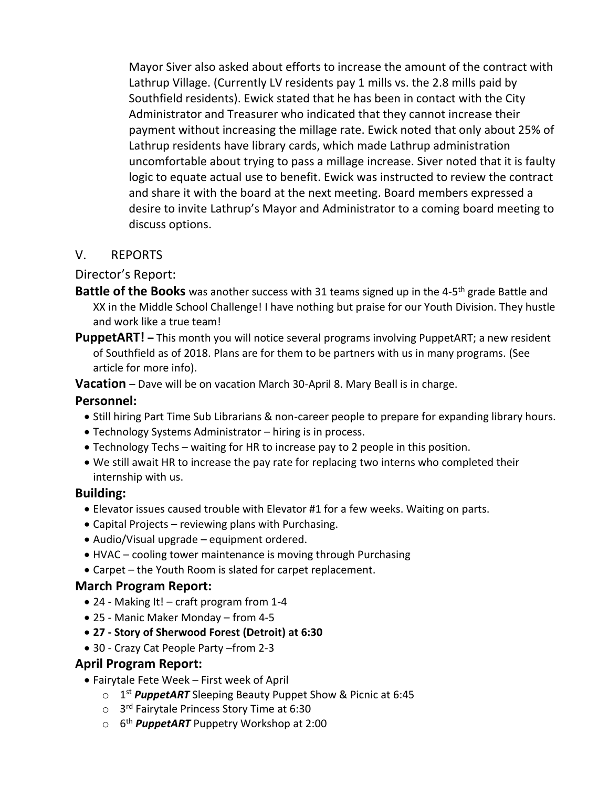Mayor Siver also asked about efforts to increase the amount of the contract with Lathrup Village. (Currently LV residents pay 1 mills vs. the 2.8 mills paid by Southfield residents). Ewick stated that he has been in contact with the City Administrator and Treasurer who indicated that they cannot increase their payment without increasing the millage rate. Ewick noted that only about 25% of Lathrup residents have library cards, which made Lathrup administration uncomfortable about trying to pass a millage increase. Siver noted that it is faulty logic to equate actual use to benefit. Ewick was instructed to review the contract and share it with the board at the next meeting. Board members expressed a desire to invite Lathrup's Mayor and Administrator to a coming board meeting to discuss options.

# V. REPORTS

Director's Report:

- **Battle of the Books** was another success with 31 teams signed up in the 4-5<sup>th</sup> grade Battle and XX in the Middle School Challenge! I have nothing but praise for our Youth Division. They hustle and work like a true team!
- **PuppetART! –** This month you will notice several programs involving PuppetART; a new resident of Southfield as of 2018. Plans are for them to be partners with us in many programs. (See article for more info).

**Vacation** – Dave will be on vacation March 30-April 8. Mary Beall is in charge.

### **Personnel:**

- Still hiring Part Time Sub Librarians & non-career people to prepare for expanding library hours.
- Technology Systems Administrator hiring is in process.
- Technology Techs waiting for HR to increase pay to 2 people in this position.
- We still await HR to increase the pay rate for replacing two interns who completed their internship with us.

#### **Building:**

- Elevator issues caused trouble with Elevator #1 for a few weeks. Waiting on parts.
- Capital Projects reviewing plans with Purchasing.
- Audio/Visual upgrade equipment ordered.
- HVAC cooling tower maintenance is moving through Purchasing
- Carpet the Youth Room is slated for carpet replacement.

#### **March Program Report:**

- 24 Making It! craft program from 1-4
- 25 Manic Maker Monday from 4-5
- **27 - Story of Sherwood Forest (Detroit) at 6:30**
- 30 Crazy Cat People Party –from 2-3

#### **April Program Report:**

- Fairytale Fete Week First week of April
	- o 1 st *PuppetART* Sleeping Beauty Puppet Show & Picnic at 6:45
	- o 3<sup>rd</sup> Fairytale Princess Story Time at 6:30
	- o 6 th *PuppetART* Puppetry Workshop at 2:00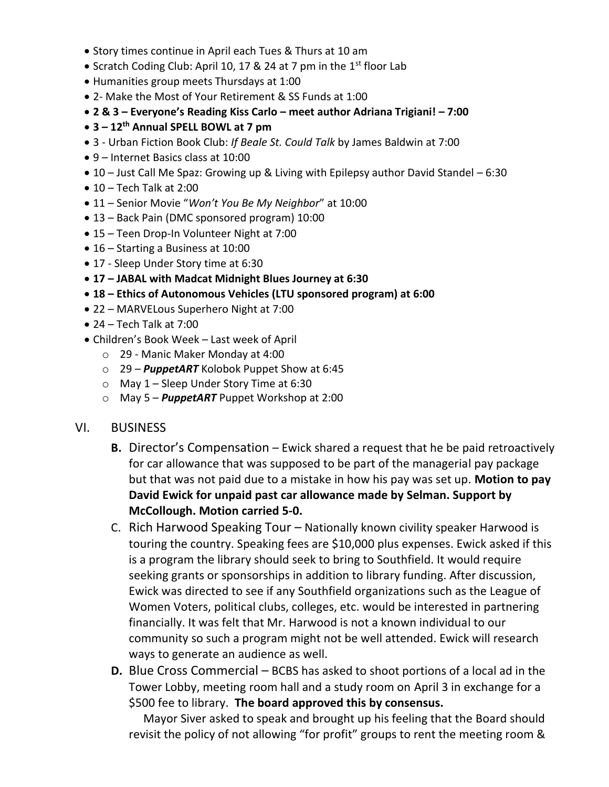- Story times continue in April each Tues & Thurs at 10 am
- Scratch Coding Club: April 10, 17 & 24 at 7 pm in the  $1<sup>st</sup>$  floor Lab
- Humanities group meets Thursdays at 1:00
- 2- Make the Most of Your Retirement & SS Funds at 1:00
- **2 & 3 – Everyone's Reading Kiss Carlo – meet author Adriana Trigiani! – 7:00**
- **3 – 12th Annual SPELL BOWL at 7 pm**
- 3 Urban Fiction Book Club: *If Beale St. Could Talk* by James Baldwin at 7:00
- 9 Internet Basics class at 10:00
- 10 Just Call Me Spaz: Growing up & Living with Epilepsy author David Standel 6:30
- $\bullet$  10 Tech Talk at 2:00
- 11 Senior Movie "*Won't You Be My Neighbor*" at 10:00
- 13 Back Pain (DMC sponsored program) 10:00
- 15 Teen Drop-In Volunteer Night at 7:00
- 16 Starting a Business at 10:00
- 17 Sleep Under Story time at 6:30
- **17 – JABAL with Madcat Midnight Blues Journey at 6:30**
- **18 – Ethics of Autonomous Vehicles (LTU sponsored program) at 6:00**
- 22 MARVELous Superhero Night at 7:00
- $\bullet$  24 Tech Talk at 7:00
- Children's Book Week Last week of April
	- o 29 Manic Maker Monday at 4:00
	- o 29 *PuppetART* Kolobok Puppet Show at 6:45
	- o May 1 Sleep Under Story Time at 6:30
	- o May 5 *PuppetART* Puppet Workshop at 2:00
- VI. BUSINESS
	- **B.** Director's Compensation Ewick shared a request that he be paid retroactively for car allowance that was supposed to be part of the managerial pay package but that was not paid due to a mistake in how his pay was set up. **Motion to pay David Ewick for unpaid past car allowance made by Selman. Support by McCollough. Motion carried 5-0.**
	- C. Rich Harwood Speaking Tour Nationally known civility speaker Harwood is touring the country. Speaking fees are \$10,000 plus expenses. Ewick asked if this is a program the library should seek to bring to Southfield. It would require seeking grants or sponsorships in addition to library funding. After discussion, Ewick was directed to see if any Southfield organizations such as the League of Women Voters, political clubs, colleges, etc. would be interested in partnering financially. It was felt that Mr. Harwood is not a known individual to our community so such a program might not be well attended. Ewick will research ways to generate an audience as well.
	- **D.** Blue Cross Commercial BCBS has asked to shoot portions of a local ad in the Tower Lobby, meeting room hall and a study room on April 3 in exchange for a \$500 fee to library. **The board approved this by consensus.**

 Mayor Siver asked to speak and brought up his feeling that the Board should revisit the policy of not allowing "for profit" groups to rent the meeting room &